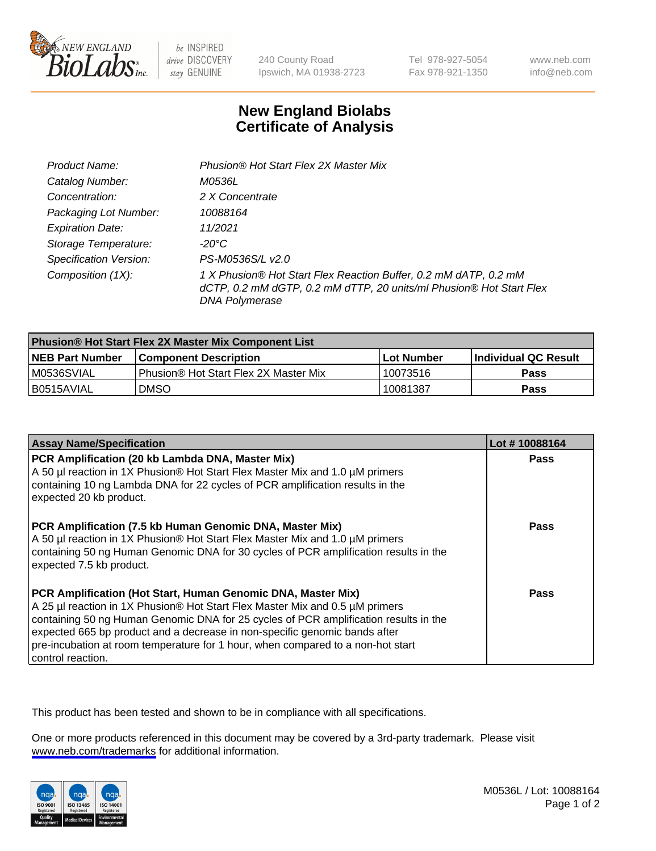

be INSPIRED drive DISCOVERY stay GENUINE

240 County Road Ipswich, MA 01938-2723 Tel 978-927-5054 Fax 978-921-1350

www.neb.com info@neb.com

## **New England Biolabs Certificate of Analysis**

| Product Name:                 | Phusion® Hot Start Flex 2X Master Mix                                                                                                                     |
|-------------------------------|-----------------------------------------------------------------------------------------------------------------------------------------------------------|
| Catalog Number:               | M0536L                                                                                                                                                    |
| Concentration:                | 2 X Concentrate                                                                                                                                           |
| Packaging Lot Number:         | 10088164                                                                                                                                                  |
| <b>Expiration Date:</b>       | 11/2021                                                                                                                                                   |
| Storage Temperature:          | -20°C                                                                                                                                                     |
| <b>Specification Version:</b> | PS-M0536S/L v2.0                                                                                                                                          |
| Composition (1X):             | 1 X Phusion® Hot Start Flex Reaction Buffer, 0.2 mM dATP, 0.2 mM<br>dCTP, 0.2 mM dGTP, 0.2 mM dTTP, 20 units/ml Phusion® Hot Start Flex<br>DNA Polymerase |

| <b>Phusion® Hot Start Flex 2X Master Mix Component List</b> |                                              |            |                             |  |
|-------------------------------------------------------------|----------------------------------------------|------------|-----------------------------|--|
| <b>NEB Part Number</b>                                      | <b>Component Description</b>                 | Lot Number | <b>Individual QC Result</b> |  |
| M0536SVIAL                                                  | <b>Phusion® Hot Start Flex 2X Master Mix</b> | 10073516   | Pass                        |  |
| I B0515AVIAL                                                | <b>DMSO</b>                                  | 10081387   | Pass                        |  |

| <b>Assay Name/Specification</b>                                                                                                                                                                                                                                                                                                                                                                                            | Lot #10088164 |
|----------------------------------------------------------------------------------------------------------------------------------------------------------------------------------------------------------------------------------------------------------------------------------------------------------------------------------------------------------------------------------------------------------------------------|---------------|
| PCR Amplification (20 kb Lambda DNA, Master Mix)<br>A 50 µl reaction in 1X Phusion® Hot Start Flex Master Mix and 1.0 µM primers                                                                                                                                                                                                                                                                                           | <b>Pass</b>   |
| containing 10 ng Lambda DNA for 22 cycles of PCR amplification results in the<br>expected 20 kb product.                                                                                                                                                                                                                                                                                                                   |               |
| PCR Amplification (7.5 kb Human Genomic DNA, Master Mix)<br>A 50 µl reaction in 1X Phusion® Hot Start Flex Master Mix and 1.0 µM primers<br>containing 50 ng Human Genomic DNA for 30 cycles of PCR amplification results in the<br>expected 7.5 kb product.                                                                                                                                                               | <b>Pass</b>   |
| PCR Amplification (Hot Start, Human Genomic DNA, Master Mix)<br>A 25 µl reaction in 1X Phusion® Hot Start Flex Master Mix and 0.5 µM primers<br>containing 50 ng Human Genomic DNA for 25 cycles of PCR amplification results in the<br>expected 665 bp product and a decrease in non-specific genomic bands after<br>pre-incubation at room temperature for 1 hour, when compared to a non-hot start<br>control reaction. | Pass          |

This product has been tested and shown to be in compliance with all specifications.

One or more products referenced in this document may be covered by a 3rd-party trademark. Please visit <www.neb.com/trademarks>for additional information.